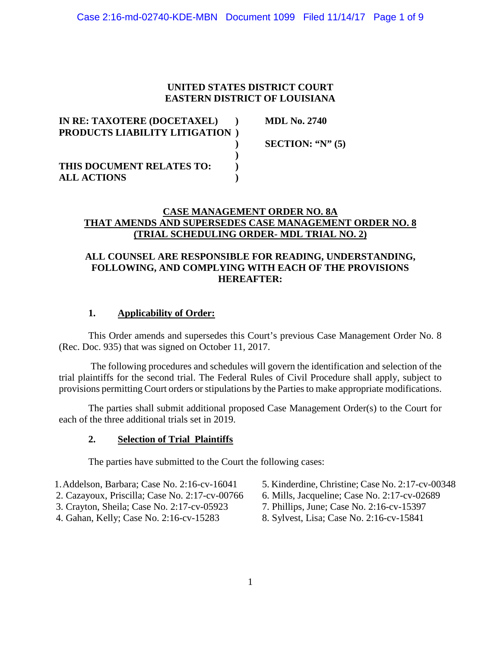#### **UNITED STATES DISTRICT COURT EASTERN DISTRICT OF LOUISIANA**

| IN RE: TAXOTERE (DOCETAXEL)          | <b>MDL No. 2740</b>  |
|--------------------------------------|----------------------|
| <b>PRODUCTS LIABILITY LITIGATION</b> |                      |
|                                      | SECTION: " $N$ " (5) |
|                                      |                      |
| THIS DOCUMENT RELATES TO:            |                      |
| <b>ALL ACTIONS</b>                   |                      |

#### **CASE MANAGEMENT ORDER NO. 8A THAT AMENDS AND SUPERSEDES CASE MANAGEMENT ORDER NO. 8 (TRIAL SCHEDULING ORDER- MDL TRIAL NO. 2)**

# **ALL COUNSEL ARE RESPONSIBLE FOR READING, UNDERSTANDING, FOLLOWING, AND COMPLYING WITH EACH OF THE PROVISIONS HEREAFTER:**

## **1. Applicability of Order:**

This Order amends and supersedes this Court's previous Case Management Order No. 8 (Rec. Doc. 935) that was signed on October 11, 2017.

The following procedures and schedules will govern the identification and selection of the trial plaintiffs for the second trial. The Federal Rules of Civil Procedure shall apply, subject to provisions permitting Court orders or stipulations by the Parties to make appropriate modifications.

The parties shall submit additional proposed Case Management Order(s) to the Court for each of the three additional trials set in 2019.

#### **2. Selection of Trial Plaintiffs**

The parties have submitted to the Court the following cases:

- 1. Addelson, Barbara; Case No. 2:16-cv-16041 5. Kinderdine, Christine; Case No. 2:17-cv-00348<br>2. Cazayoux, Priscilla; Case No. 2:17-cv-00766 6. Mills, Jacqueline; Case No. 2:17-cv-02689
- 2. Cazayoux, Priscilla; Case No. 2:17-cv-00766
- 
- 
- 
- 
- 3. Crayton, Sheila; Case No. 2:17-cv-05923 7. Phillips, June; Case No. 2:16-cv-15397
- 4. Gahan, Kelly; Case No. 2:16-cv-15283 8. Sylvest, Lisa; Case No. 2:16-cv-15841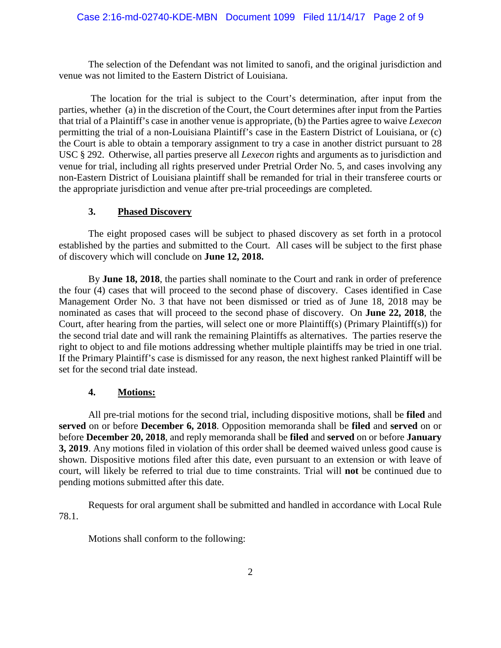The selection of the Defendant was not limited to sanofi, and the original jurisdiction and venue was not limited to the Eastern District of Louisiana.

The location for the trial is subject to the Court's determination, after input from the parties, whether (a) in the discretion of the Court, the Court determines after input from the Parties that trial of a Plaintiff's case in another venue is appropriate, (b) the Parties agree to waive *Lexecon*  permitting the trial of a non-Louisiana Plaintiff's case in the Eastern District of Louisiana, or (c) the Court is able to obtain a temporary assignment to try a case in another district pursuant to 28 USC § 292. Otherwise, all parties preserve all *Lexecon* rights and arguments as to jurisdiction and venue for trial, including all rights preserved under Pretrial Order No. 5, and cases involving any non-Eastern District of Louisiana plaintiff shall be remanded for trial in their transferee courts or the appropriate jurisdiction and venue after pre-trial proceedings are completed.

## **3. Phased Discovery**

The eight proposed cases will be subject to phased discovery as set forth in a protocol established by the parties and submitted to the Court. All cases will be subject to the first phase of discovery which will conclude on **June 12, 2018.** 

By **June 18, 2018**, the parties shall nominate to the Court and rank in order of preference the four (4) cases that will proceed to the second phase of discovery. Cases identified in Case Management Order No. 3 that have not been dismissed or tried as of June 18, 2018 may be nominated as cases that will proceed to the second phase of discovery. On **June 22, 2018**, the Court, after hearing from the parties, will select one or more Plaintiff(s) (Primary Plaintiff(s)) for the second trial date and will rank the remaining Plaintiffs as alternatives. The parties reserve the right to object to and file motions addressing whether multiple plaintiffs may be tried in one trial. If the Primary Plaintiff's case is dismissed for any reason, the next highest ranked Plaintiff will be set for the second trial date instead.

#### **4. Motions:**

All pre-trial motions for the second trial, including dispositive motions, shall be **filed** and **served** on or before **December 6, 2018**. Opposition memoranda shall be **filed** and **served** on or before **December 20, 2018**, and reply memoranda shall be **filed** and **served** on or before **January 3, 2019**. Any motions filed in violation of this order shall be deemed waived unless good cause is shown. Dispositive motions filed after this date, even pursuant to an extension or with leave of court, will likely be referred to trial due to time constraints. Trial will **not** be continued due to pending motions submitted after this date.

Requests for oral argument shall be submitted and handled in accordance with Local Rule 78.1.

Motions shall conform to the following: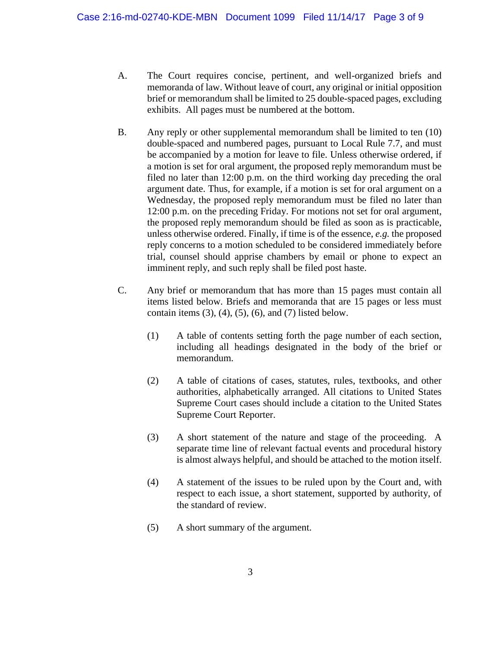- A. The Court requires concise, pertinent, and well-organized briefs and memoranda of law. Without leave of court, any original or initial opposition brief or memorandum shall be limited to 25 double-spaced pages, excluding exhibits. All pages must be numbered at the bottom.
- B. Any reply or other supplemental memorandum shall be limited to ten (10) double-spaced and numbered pages, pursuant to Local Rule 7.7, and must be accompanied by a motion for leave to file. Unless otherwise ordered, if a motion is set for oral argument, the proposed reply memorandum must be filed no later than 12:00 p.m. on the third working day preceding the oral argument date. Thus, for example, if a motion is set for oral argument on a Wednesday, the proposed reply memorandum must be filed no later than 12:00 p.m. on the preceding Friday. For motions not set for oral argument, the proposed reply memorandum should be filed as soon as is practicable, unless otherwise ordered. Finally, if time is of the essence, *e.g.* the proposed reply concerns to a motion scheduled to be considered immediately before trial, counsel should apprise chambers by email or phone to expect an imminent reply, and such reply shall be filed post haste.
- C. Any brief or memorandum that has more than 15 pages must contain all items listed below. Briefs and memoranda that are 15 pages or less must contain items  $(3)$ ,  $(4)$ ,  $(5)$ ,  $(6)$ , and  $(7)$  listed below.
	- (1) A table of contents setting forth the page number of each section, including all headings designated in the body of the brief or memorandum.
	- (2) A table of citations of cases, statutes, rules, textbooks, and other authorities, alphabetically arranged. All citations to United States Supreme Court cases should include a citation to the United States Supreme Court Reporter.
	- (3) A short statement of the nature and stage of the proceeding. A separate time line of relevant factual events and procedural history is almost always helpful, and should be attached to the motion itself.
	- (4) A statement of the issues to be ruled upon by the Court and, with respect to each issue, a short statement, supported by authority, of the standard of review.
	- (5) A short summary of the argument.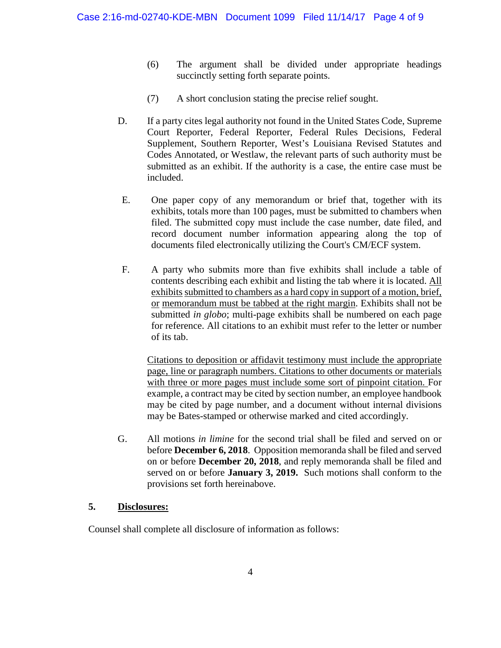- (6) The argument shall be divided under appropriate headings succinctly setting forth separate points.
- (7) A short conclusion stating the precise relief sought.
- D. If a party cites legal authority not found in the United States Code, Supreme Court Reporter, Federal Reporter, Federal Rules Decisions, Federal Supplement, Southern Reporter, West's Louisiana Revised Statutes and Codes Annotated, or Westlaw, the relevant parts of such authority must be submitted as an exhibit. If the authority is a case, the entire case must be included.
- E. One paper copy of any memorandum or brief that, together with its exhibits, totals more than 100 pages, must be submitted to chambers when filed. The submitted copy must include the case number, date filed, and record document number information appearing along the top of documents filed electronically utilizing the Court's CM/ECF system.
- F. A party who submits more than five exhibits shall include a table of contents describing each exhibit and listing the tab where it is located. All exhibits submitted to chambers as a hard copy in support of a motion, brief, or memorandum must be tabbed at the right margin. Exhibits shall not be submitted *in globo*; multi-page exhibits shall be numbered on each page for reference. All citations to an exhibit must refer to the letter or number of its tab.

Citations to deposition or affidavit testimony must include the appropriate page, line or paragraph numbers. Citations to other documents or materials with three or more pages must include some sort of pinpoint citation. For example, a contract may be cited by section number, an employee handbook may be cited by page number, and a document without internal divisions may be Bates-stamped or otherwise marked and cited accordingly.

G. All motions *in limine* for the second trial shall be filed and served on or before **December 6, 2018**. Opposition memoranda shall be filed and served on or before **December 20, 2018**, and reply memoranda shall be filed and served on or before **January 3, 2019.** Such motions shall conform to the provisions set forth hereinabove.

#### **5. Disclosures:**

Counsel shall complete all disclosure of information as follows: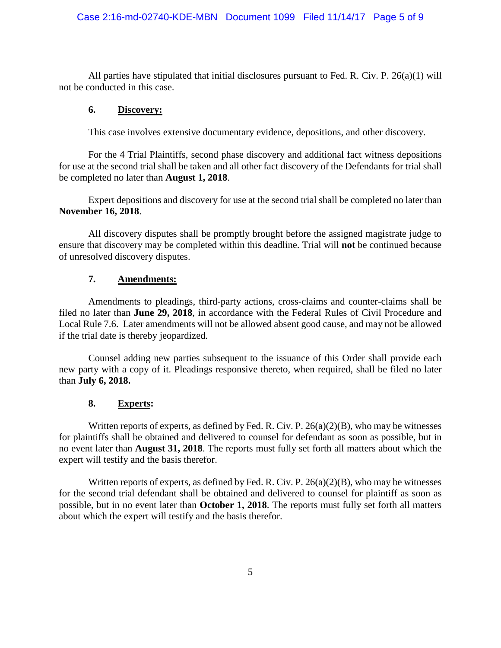# Case 2:16-md-02740-KDE-MBN Document 1099 Filed 11/14/17 Page 5 of 9

All parties have stipulated that initial disclosures pursuant to Fed. R. Civ. P. 26(a)(1) will not be conducted in this case.

#### **6. Discovery:**

This case involves extensive documentary evidence, depositions, and other discovery.

For the 4 Trial Plaintiffs, second phase discovery and additional fact witness depositions for use at the second trial shall be taken and all other fact discovery of the Defendants for trial shall be completed no later than **August 1, 2018**.

Expert depositions and discovery for use at the second trial shall be completed no later than **November 16, 2018**.

All discovery disputes shall be promptly brought before the assigned magistrate judge to ensure that discovery may be completed within this deadline. Trial will **not** be continued because of unresolved discovery disputes.

#### **7. Amendments:**

Amendments to pleadings, third-party actions, cross-claims and counter-claims shall be filed no later than **June 29, 2018**, in accordance with the Federal Rules of Civil Procedure and Local Rule 7.6. Later amendments will not be allowed absent good cause, and may not be allowed if the trial date is thereby jeopardized.

Counsel adding new parties subsequent to the issuance of this Order shall provide each new party with a copy of it. Pleadings responsive thereto, when required, shall be filed no later than **July 6, 2018.**

#### **8. Experts:**

Written reports of experts, as defined by Fed. R. Civ. P.  $26(a)(2)(B)$ , who may be witnesses for plaintiffs shall be obtained and delivered to counsel for defendant as soon as possible, but in no event later than **August 31, 2018**. The reports must fully set forth all matters about which the expert will testify and the basis therefor.

Written reports of experts, as defined by Fed. R. Civ. P.  $26(a)(2)(B)$ , who may be witnesses for the second trial defendant shall be obtained and delivered to counsel for plaintiff as soon as possible, but in no event later than **October 1, 2018**. The reports must fully set forth all matters about which the expert will testify and the basis therefor.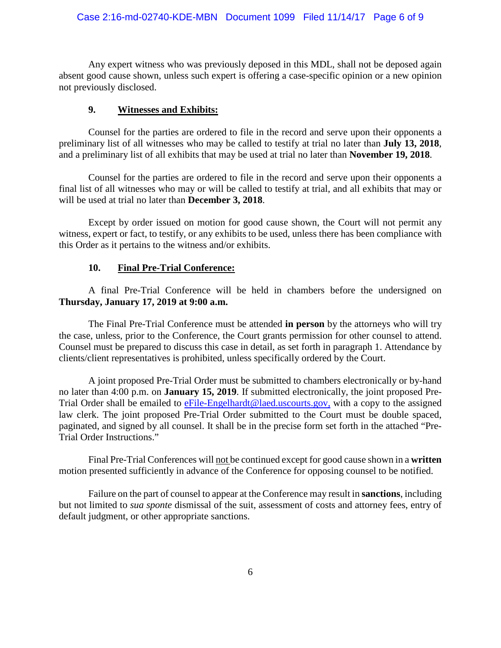#### Case 2:16-md-02740-KDE-MBN Document 1099 Filed 11/14/17 Page 6 of 9

Any expert witness who was previously deposed in this MDL, shall not be deposed again absent good cause shown, unless such expert is offering a case-specific opinion or a new opinion not previously disclosed.

#### **9. Witnesses and Exhibits:**

Counsel for the parties are ordered to file in the record and serve upon their opponents a preliminary list of all witnesses who may be called to testify at trial no later than **July 13, 2018**, and a preliminary list of all exhibits that may be used at trial no later than **November 19, 2018**.

Counsel for the parties are ordered to file in the record and serve upon their opponents a final list of all witnesses who may or will be called to testify at trial, and all exhibits that may or will be used at trial no later than **December 3, 2018**.

Except by order issued on motion for good cause shown, the Court will not permit any witness, expert or fact, to testify, or any exhibits to be used, unless there has been compliance with this Order as it pertains to the witness and/or exhibits.

#### **10. Final Pre-Trial Conference:**

A final Pre-Trial Conference will be held in chambers before the undersigned on **Thursday, January 17, 2019 at 9:00 a.m.**

The Final Pre-Trial Conference must be attended **in person** by the attorneys who will try the case, unless, prior to the Conference, the Court grants permission for other counsel to attend. Counsel must be prepared to discuss this case in detail, as set forth in paragraph 1. Attendance by clients/client representatives is prohibited, unless specifically ordered by the Court.

A joint proposed Pre-Trial Order must be submitted to chambers electronically or by-hand no later than 4:00 p.m. on **January 15, 2019**. If submitted electronically, the joint proposed Pre-Trial Order shall be emailed to eFile-Engelhardt@laed.uscourts.gov, with a copy to the assigned law clerk. The joint proposed Pre-Trial Order submitted to the Court must be double spaced, paginated, and signed by all counsel. It shall be in the precise form set forth in the attached "Pre-Trial Order Instructions."

Final Pre-Trial Conferences will not be continued except for good cause shown in a **written** motion presented sufficiently in advance of the Conference for opposing counsel to be notified.

Failure on the part of counsel to appear at the Conference may result in **sanctions**, including but not limited to *sua sponte* dismissal of the suit, assessment of costs and attorney fees, entry of default judgment, or other appropriate sanctions.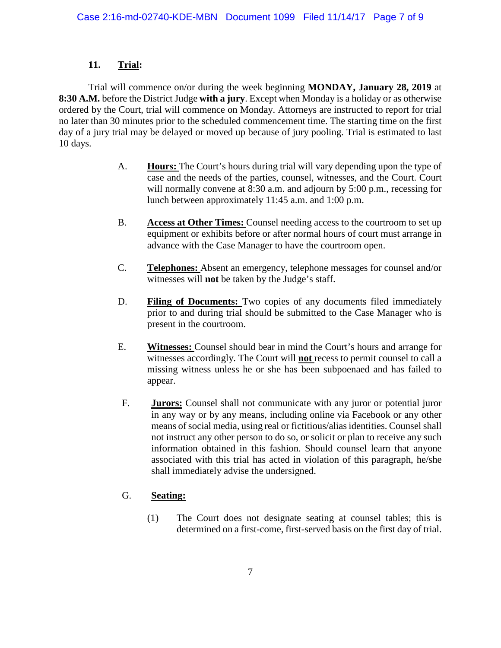# **11. Trial:**

Trial will commence on/or during the week beginning **MONDAY, January 28, 2019** at **8:30 A.M.** before the District Judge **with a jury**. Except when Monday is a holiday or as otherwise ordered by the Court, trial will commence on Monday. Attorneys are instructed to report for trial no later than 30 minutes prior to the scheduled commencement time. The starting time on the first day of a jury trial may be delayed or moved up because of jury pooling. Trial is estimated to last 10 days.

- A. **Hours:** The Court's hours during trial will vary depending upon the type of case and the needs of the parties, counsel, witnesses, and the Court. Court will normally convene at 8:30 a.m. and adjourn by 5:00 p.m., recessing for lunch between approximately 11:45 a.m. and 1:00 p.m.
- B. **Access at Other Times:** Counsel needing access to the courtroom to set up equipment or exhibits before or after normal hours of court must arrange in advance with the Case Manager to have the courtroom open.
- C. **Telephones:** Absent an emergency, telephone messages for counsel and/or witnesses will **not** be taken by the Judge's staff.
- D. **Filing of Documents:** Two copies of any documents filed immediately prior to and during trial should be submitted to the Case Manager who is present in the courtroom.
- E. **Witnesses:** Counsel should bear in mind the Court's hours and arrange for witnesses accordingly. The Court will **not** recess to permit counsel to call a missing witness unless he or she has been subpoenaed and has failed to appear.
- F. **Jurors:** Counsel shall not communicate with any juror or potential juror in any way or by any means, including online via Facebook or any other means of social media, using real or fictitious/alias identities. Counsel shall not instruct any other person to do so, or solicit or plan to receive any such information obtained in this fashion. Should counsel learn that anyone associated with this trial has acted in violation of this paragraph, he/she shall immediately advise the undersigned.

# G. **Seating:**

(1) The Court does not designate seating at counsel tables; this is determined on a first-come, first-served basis on the first day of trial.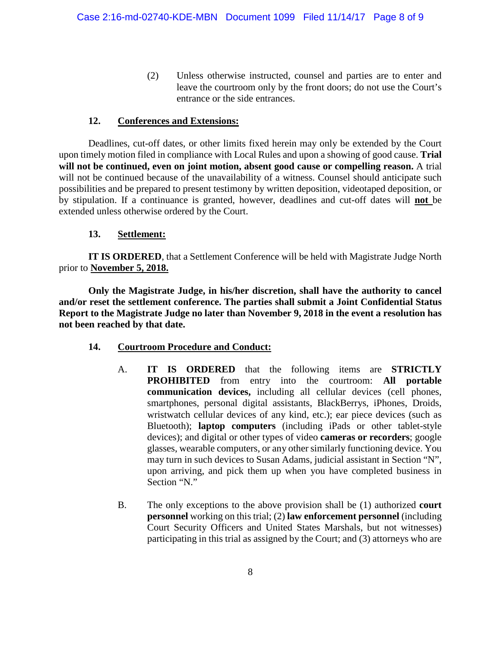(2) Unless otherwise instructed, counsel and parties are to enter and leave the courtroom only by the front doors; do not use the Court's entrance or the side entrances.

# **12. Conferences and Extensions:**

Deadlines, cut-off dates, or other limits fixed herein may only be extended by the Court upon timely motion filed in compliance with Local Rules and upon a showing of good cause. **Trial will not be continued, even on joint motion, absent good cause or compelling reason.** A trial will not be continued because of the unavailability of a witness. Counsel should anticipate such possibilities and be prepared to present testimony by written deposition, videotaped deposition, or by stipulation. If a continuance is granted, however, deadlines and cut-off dates will **not** be extended unless otherwise ordered by the Court.

## **13. Settlement:**

**IT IS ORDERED**, that a Settlement Conference will be held with Magistrate Judge North prior to **November 5, 2018.**

**Only the Magistrate Judge, in his/her discretion, shall have the authority to cancel and/or reset the settlement conference. The parties shall submit a Joint Confidential Status Report to the Magistrate Judge no later than November 9, 2018 in the event a resolution has not been reached by that date.**

- **14. Courtroom Procedure and Conduct:**
	- A. **IT IS ORDERED** that the following items are **STRICTLY PROHIBITED** from entry into the courtroom: **All portable communication devices,** including all cellular devices (cell phones, smartphones, personal digital assistants, BlackBerrys, iPhones, Droids, wristwatch cellular devices of any kind, etc.); ear piece devices (such as Bluetooth); **laptop computers** (including iPads or other tablet-style devices); and digital or other types of video **cameras or recorders**; google glasses, wearable computers, or any other similarly functioning device. You may turn in such devices to Susan Adams, judicial assistant in Section "N", upon arriving, and pick them up when you have completed business in Section "N."
	- B. The only exceptions to the above provision shall be (1) authorized **court personnel** working on this trial; (2) **law enforcement personnel** (including Court Security Officers and United States Marshals, but not witnesses) participating in this trial as assigned by the Court; and (3) attorneys who are